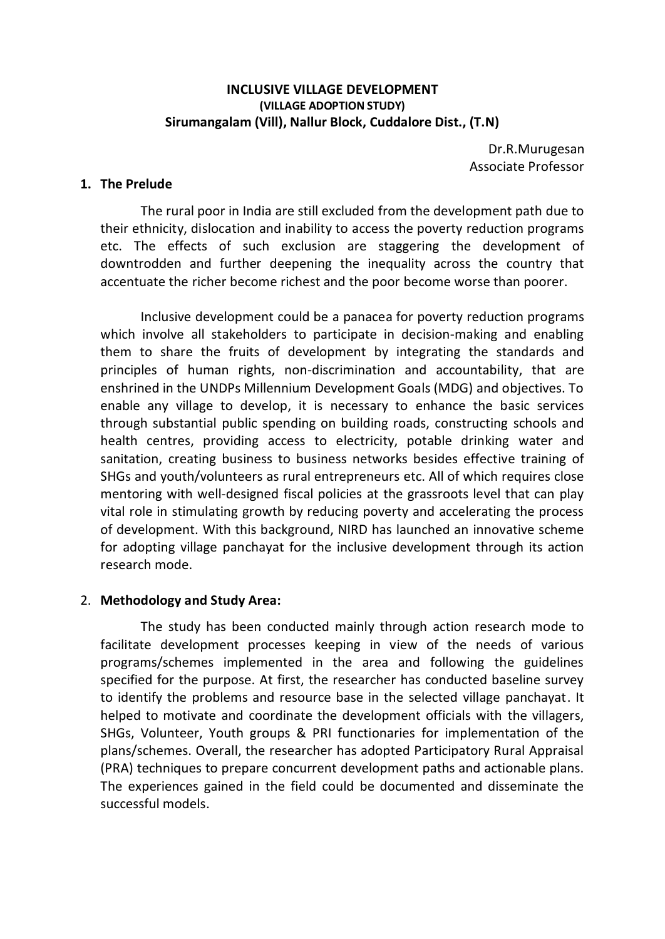#### **INCLUSIVE VILLAGE DEVELOPMENT (VILLAGE ADOPTION STUDY) Sirumangalam (Vill), Nallur Block, Cuddalore Dist., (T.N)**

Dr.R.Murugesan Associate Professor

#### **1. The Prelude**

The rural poor in India are still excluded from the development path due to their ethnicity, dislocation and inability to access the poverty reduction programs etc. The effects of such exclusion are staggering the development of downtrodden and further deepening the inequality across the country that accentuate the richer become richest and the poor become worse than poorer.

Inclusive development could be a panacea for poverty reduction programs which involve all stakeholders to participate in decision-making and enabling them to share the fruits of development by integrating the standards and principles of human rights, non-discrimination and accountability, that are enshrined in the UNDPs Millennium Development Goals (MDG) and objectives. To enable any village to develop, it is necessary to enhance the basic services through substantial public spending on building roads, constructing schools and health centres, providing access to electricity, potable drinking water and sanitation, creating business to business networks besides effective training of SHGs and youth/volunteers as rural entrepreneurs etc. All of which requires close mentoring with well-designed fiscal policies at the grassroots level that can play vital role in stimulating growth by reducing poverty and accelerating the process of development. With this background, NIRD has launched an innovative scheme for adopting village panchayat for the inclusive development through its action research mode.

#### 2. **Methodology and Study Area:**

The study has been conducted mainly through action research mode to facilitate development processes keeping in view of the needs of various programs/schemes implemented in the area and following the guidelines specified for the purpose. At first, the researcher has conducted baseline survey to identify the problems and resource base in the selected village panchayat. It helped to motivate and coordinate the development officials with the villagers, SHGs, Volunteer, Youth groups & PRI functionaries for implementation of the plans/schemes. Overall, the researcher has adopted Participatory Rural Appraisal (PRA) techniques to prepare concurrent development paths and actionable plans. The experiences gained in the field could be documented and disseminate the successful models.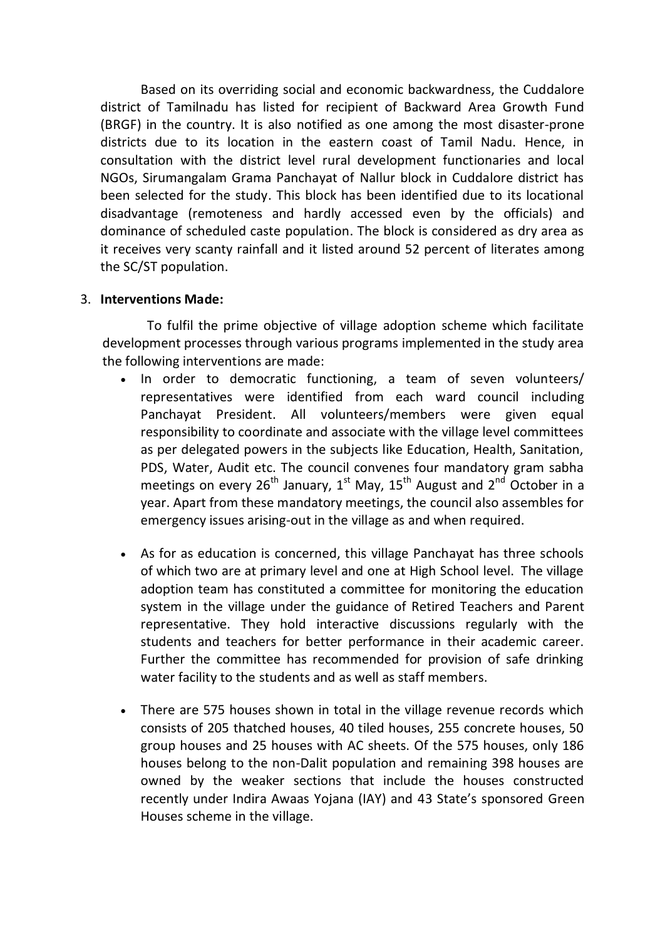Based on its overriding social and economic backwardness, the Cuddalore district of Tamilnadu has listed for recipient of Backward Area Growth Fund (BRGF) in the country. It is also notified as one among the most disaster-prone districts due to its location in the eastern coast of Tamil Nadu. Hence, in consultation with the district level rural development functionaries and local NGOs, Sirumangalam Grama Panchayat of Nallur block in Cuddalore district has been selected for the study. This block has been identified due to its locational disadvantage (remoteness and hardly accessed even by the officials) and dominance of scheduled caste population. The block is considered as dry area as it receives very scanty rainfall and it listed around 52 percent of literates among the SC/ST population.

#### 3. **Interventions Made:**

To fulfil the prime objective of village adoption scheme which facilitate development processes through various programs implemented in the study area the following interventions are made:

- In order to democratic functioning, a team of seven volunteers/ representatives were identified from each ward council including Panchayat President. All volunteers/members were given equal responsibility to coordinate and associate with the village level committees as per delegated powers in the subjects like Education, Health, Sanitation, PDS, Water, Audit etc. The council convenes four mandatory gram sabha meetings on every 26<sup>th</sup> January, 1<sup>st</sup> May, 15<sup>th</sup> August and 2<sup>nd</sup> October in a year. Apart from these mandatory meetings, the council also assembles for emergency issues arising-out in the village as and when required.
- As for as education is concerned, this village Panchayat has three schools of which two are at primary level and one at High School level. The village adoption team has constituted a committee for monitoring the education system in the village under the guidance of Retired Teachers and Parent representative. They hold interactive discussions regularly with the students and teachers for better performance in their academic career. Further the committee has recommended for provision of safe drinking water facility to the students and as well as staff members.
- There are 575 houses shown in total in the village revenue records which consists of 205 thatched houses, 40 tiled houses, 255 concrete houses, 50 group houses and 25 houses with AC sheets. Of the 575 houses, only 186 houses belong to the non-Dalit population and remaining 398 houses are owned by the weaker sections that include the houses constructed recently under Indira Awaas Yojana (IAY) and 43 State's sponsored Green Houses scheme in the village.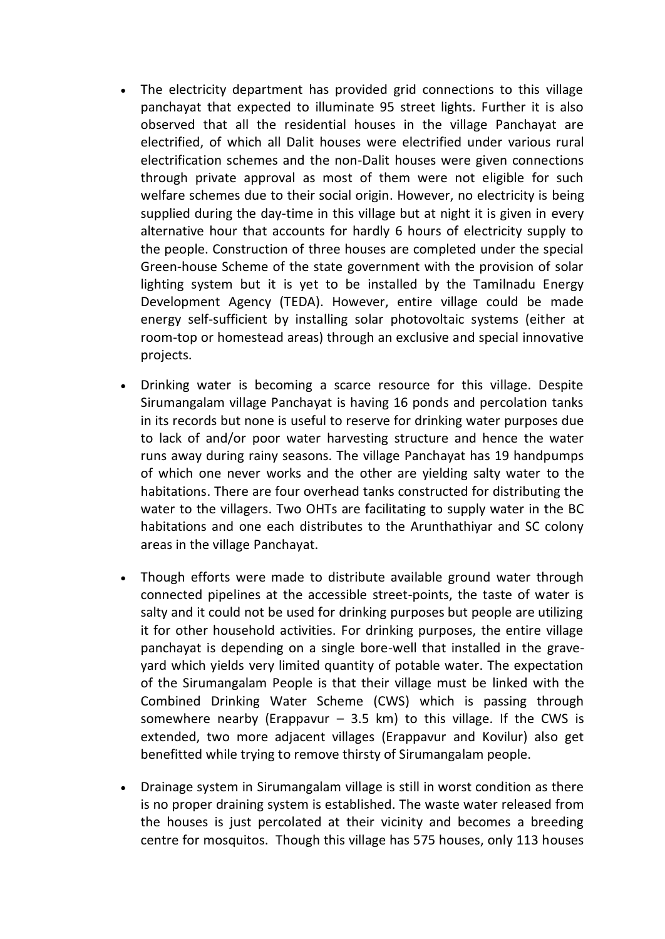- The electricity department has provided grid connections to this village panchayat that expected to illuminate 95 street lights. Further it is also observed that all the residential houses in the village Panchayat are electrified, of which all Dalit houses were electrified under various rural electrification schemes and the non-Dalit houses were given connections through private approval as most of them were not eligible for such welfare schemes due to their social origin. However, no electricity is being supplied during the day-time in this village but at night it is given in every alternative hour that accounts for hardly 6 hours of electricity supply to the people. Construction of three houses are completed under the special Green-house Scheme of the state government with the provision of solar lighting system but it is yet to be installed by the Tamilnadu Energy Development Agency (TEDA). However, entire village could be made energy self-sufficient by installing solar photovoltaic systems (either at room-top or homestead areas) through an exclusive and special innovative projects.
- Drinking water is becoming a scarce resource for this village. Despite Sirumangalam village Panchayat is having 16 ponds and percolation tanks in its records but none is useful to reserve for drinking water purposes due to lack of and/or poor water harvesting structure and hence the water runs away during rainy seasons. The village Panchayat has 19 handpumps of which one never works and the other are yielding salty water to the habitations. There are four overhead tanks constructed for distributing the water to the villagers. Two OHTs are facilitating to supply water in the BC habitations and one each distributes to the Arunthathiyar and SC colony areas in the village Panchayat.
- Though efforts were made to distribute available ground water through connected pipelines at the accessible street-points, the taste of water is salty and it could not be used for drinking purposes but people are utilizing it for other household activities. For drinking purposes, the entire village panchayat is depending on a single bore-well that installed in the graveyard which yields very limited quantity of potable water. The expectation of the Sirumangalam People is that their village must be linked with the Combined Drinking Water Scheme (CWS) which is passing through somewhere nearby (Erappavur  $-$  3.5 km) to this village. If the CWS is extended, two more adjacent villages (Erappavur and Kovilur) also get benefitted while trying to remove thirsty of Sirumangalam people.
- Drainage system in Sirumangalam village is still in worst condition as there is no proper draining system is established. The waste water released from the houses is just percolated at their vicinity and becomes a breeding centre for mosquitos. Though this village has 575 houses, only 113 houses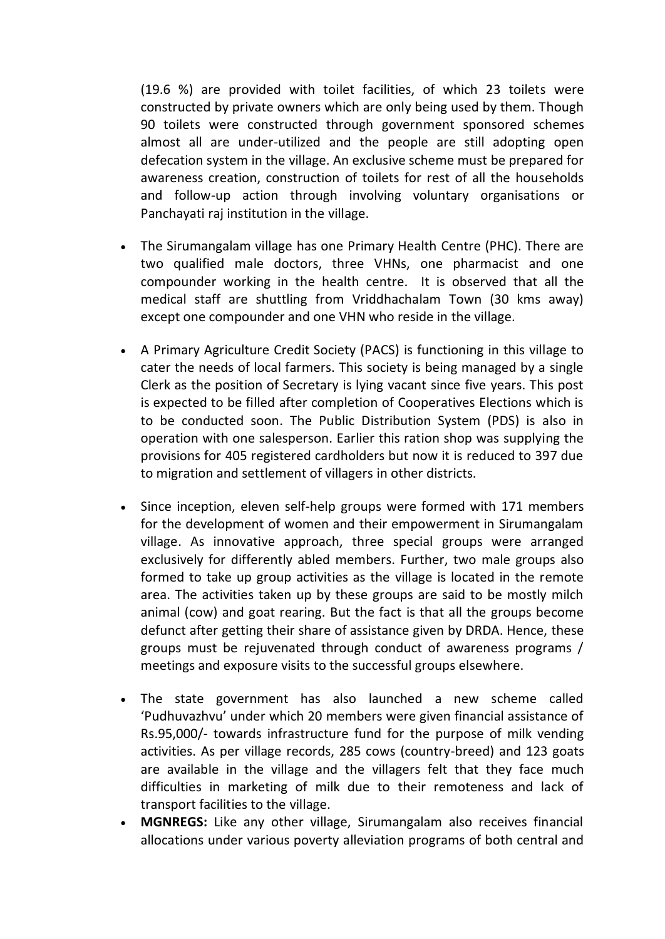(19.6 %) are provided with toilet facilities, of which 23 toilets were constructed by private owners which are only being used by them. Though 90 toilets were constructed through government sponsored schemes almost all are under-utilized and the people are still adopting open defecation system in the village. An exclusive scheme must be prepared for awareness creation, construction of toilets for rest of all the households and follow-up action through involving voluntary organisations or Panchayati raj institution in the village.

- The Sirumangalam village has one Primary Health Centre (PHC). There are two qualified male doctors, three VHNs, one pharmacist and one compounder working in the health centre. It is observed that all the medical staff are shuttling from Vriddhachalam Town (30 kms away) except one compounder and one VHN who reside in the village.
- A Primary Agriculture Credit Society (PACS) is functioning in this village to cater the needs of local farmers. This society is being managed by a single Clerk as the position of Secretary is lying vacant since five years. This post is expected to be filled after completion of Cooperatives Elections which is to be conducted soon. The Public Distribution System (PDS) is also in operation with one salesperson. Earlier this ration shop was supplying the provisions for 405 registered cardholders but now it is reduced to 397 due to migration and settlement of villagers in other districts.
- Since inception, eleven self-help groups were formed with 171 members for the development of women and their empowerment in Sirumangalam village. As innovative approach, three special groups were arranged exclusively for differently abled members. Further, two male groups also formed to take up group activities as the village is located in the remote area. The activities taken up by these groups are said to be mostly milch animal (cow) and goat rearing. But the fact is that all the groups become defunct after getting their share of assistance given by DRDA. Hence, these groups must be rejuvenated through conduct of awareness programs / meetings and exposure visits to the successful groups elsewhere.
- The state government has also launched a new scheme called 'Pudhuvazhvu' under which 20 members were given financial assistance of Rs.95,000/- towards infrastructure fund for the purpose of milk vending activities. As per village records, 285 cows (country-breed) and 123 goats are available in the village and the villagers felt that they face much difficulties in marketing of milk due to their remoteness and lack of transport facilities to the village.
- **MGNREGS:** Like any other village, Sirumangalam also receives financial allocations under various poverty alleviation programs of both central and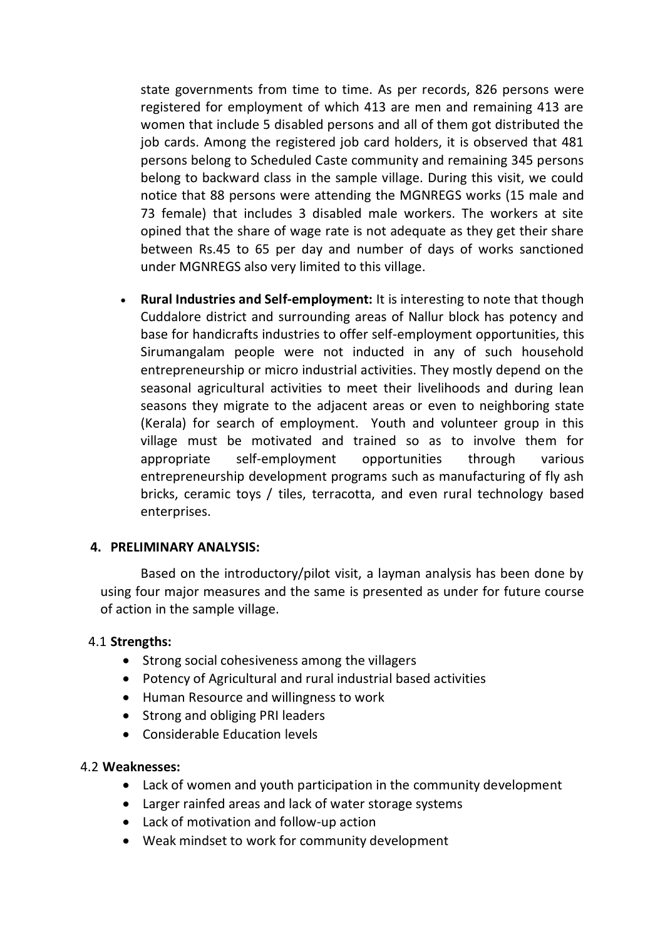state governments from time to time. As per records, 826 persons were registered for employment of which 413 are men and remaining 413 are women that include 5 disabled persons and all of them got distributed the job cards. Among the registered job card holders, it is observed that 481 persons belong to Scheduled Caste community and remaining 345 persons belong to backward class in the sample village. During this visit, we could notice that 88 persons were attending the MGNREGS works (15 male and 73 female) that includes 3 disabled male workers. The workers at site opined that the share of wage rate is not adequate as they get their share between Rs.45 to 65 per day and number of days of works sanctioned under MGNREGS also very limited to this village.

 **Rural Industries and Self-employment:** It is interesting to note that though Cuddalore district and surrounding areas of Nallur block has potency and base for handicrafts industries to offer self-employment opportunities, this Sirumangalam people were not inducted in any of such household entrepreneurship or micro industrial activities. They mostly depend on the seasonal agricultural activities to meet their livelihoods and during lean seasons they migrate to the adjacent areas or even to neighboring state (Kerala) for search of employment. Youth and volunteer group in this village must be motivated and trained so as to involve them for appropriate self-employment opportunities through various entrepreneurship development programs such as manufacturing of fly ash bricks, ceramic toys / tiles, terracotta, and even rural technology based enterprises.

#### **4. PRELIMINARY ANALYSIS:**

Based on the introductory/pilot visit, a layman analysis has been done by using four major measures and the same is presented as under for future course of action in the sample village.

#### 4.1 **Strengths:**

- Strong social cohesiveness among the villagers
- Potency of Agricultural and rural industrial based activities
- Human Resource and willingness to work
- Strong and obliging PRI leaders
- Considerable Education levels

#### 4.2 **Weaknesses:**

- Lack of women and youth participation in the community development
- Larger rainfed areas and lack of water storage systems
- Lack of motivation and follow-up action
- Weak mindset to work for community development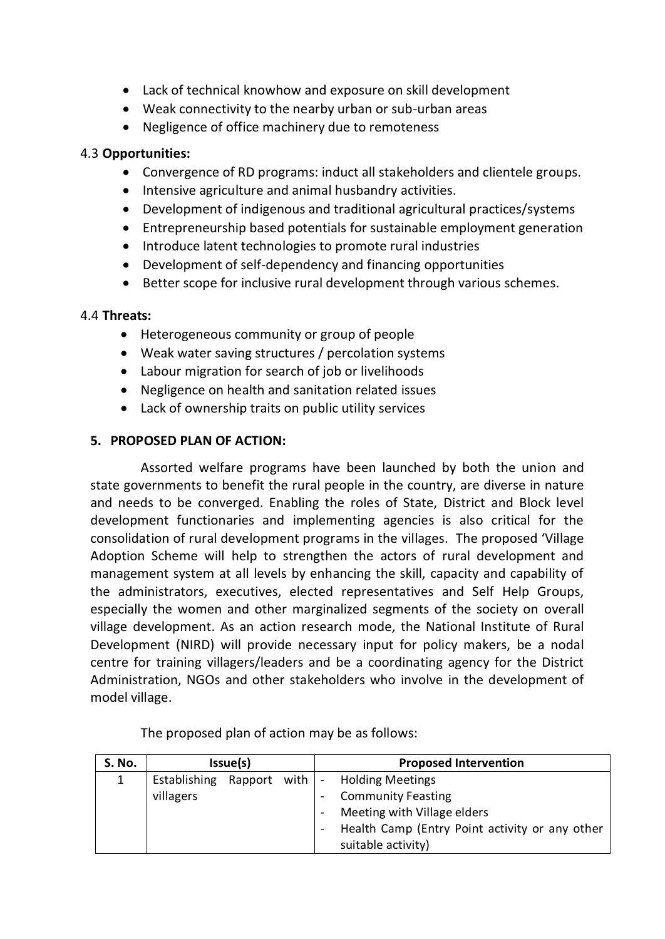- Lack of technical knowhow and exposure on skill development
- Weak connectivity to the nearby urban or sub-urban areas
- Negligence of office machinery due to remoteness

## 4.3 **Opportunities:**

- Convergence of RD programs: induct all stakeholders and clientele groups.
- Intensive agriculture and animal husbandry activities.
- Development of indigenous and traditional agricultural practices/systems
- Entrepreneurship based potentials for sustainable employment generation
- Introduce latent technologies to promote rural industries
- Development of self-dependency and financing opportunities
- Better scope for inclusive rural development through various schemes.

## 4.4 **Threats:**

- Heterogeneous community or group of people
- Weak water saving structures / percolation systems
- Labour migration for search of job or livelihoods
- Negligence on health and sanitation related issues
- Lack of ownership traits on public utility services

# **5. PROPOSED PLAN OF ACTION:**

Assorted welfare programs have been launched by both the union and state governments to benefit the rural people in the country, are diverse in nature and needs to be converged. Enabling the roles of State, District and Block level development functionaries and implementing agencies is also critical for the consolidation of rural development programs in the villages. The proposed 'Village Adoption Scheme will help to strengthen the actors of rural development and management system at all levels by enhancing the skill, capacity and capability of the administrators, executives, elected representatives and Self Help Groups, especially the women and other marginalized segments of the society on overall village development. As an action research mode, the National Institute of Rural Development (NIRD) will provide necessary input for policy makers, be a nodal centre for training villagers/leaders and be a coordinating agency for the District Administration, NGOs and other stakeholders who involve in the development of model village.

| S. No. | Issue(s)     |  |  | <b>Proposed Intervention</b>                   |  |  |
|--------|--------------|--|--|------------------------------------------------|--|--|
|        | Establishing |  |  | Rapport with $\vert$ - Holding Meetings        |  |  |
|        | villagers    |  |  | <b>Community Feasting</b>                      |  |  |
|        |              |  |  | Meeting with Village elders                    |  |  |
|        |              |  |  | Health Camp (Entry Point activity or any other |  |  |
|        |              |  |  | suitable activity)                             |  |  |

The proposed plan of action may be as follows: